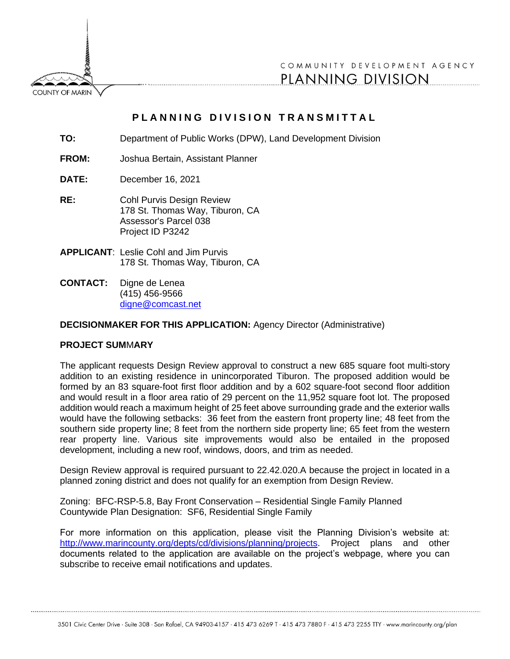**COUNTY OF MARIN** 

COMMUNITY DEVELOPMENT AGENCY PLANNING DIVISION

## PLANNING DIVISION TRANSMITTAL

- **TO:** Department of Public Works (DPW), Land Development Division
- **FROM:** Joshua Bertain, Assistant Planner
- **DATE:** December 16, 2021
- **RE:** Cohl Purvis Design Review 178 St. Thomas Way, Tiburon, CA Assessor's Parcel 038 Project ID P3242
- **APPLICANT**: Leslie Cohl and Jim Purvis 178 St. Thomas Way, Tiburon, CA
- **CONTACT:** Digne de Lenea (415) 456-9566 [digne@comcast.net](mailto:digne@comcast.net)

## **DECISIONMAKER FOR THIS APPLICATION:** Agency Director (Administrative)

## **PROJECT SUM**M**ARY**

The applicant requests Design Review approval to construct a new 685 square foot multi-story addition to an existing residence in unincorporated Tiburon. The proposed addition would be formed by an 83 square-foot first floor addition and by a 602 square-foot second floor addition and would result in a floor area ratio of 29 percent on the 11,952 square foot lot. The proposed addition would reach a maximum height of 25 feet above surrounding grade and the exterior walls would have the following setbacks: 36 feet from the eastern front property line; 48 feet from the southern side property line; 8 feet from the northern side property line; 65 feet from the western rear property line. Various site improvements would also be entailed in the proposed development, including a new roof, windows, doors, and trim as needed.

Design Review approval is required pursuant to 22.42.020.A because the project in located in a planned zoning district and does not qualify for an exemption from Design Review.

Zoning: BFC-RSP-5.8, Bay Front Conservation – Residential Single Family Planned Countywide Plan Designation: SF6, Residential Single Family

For more information on this application, please visit the Planning Division's website at: [http://www.marincounty.org/depts/cd/divisions/planning/projects.](http://www.marincounty.org/depts/cd/divisions/planning/projects) Project plans and other documents related to the application are available on the project's webpage, where you can subscribe to receive email notifications and updates.